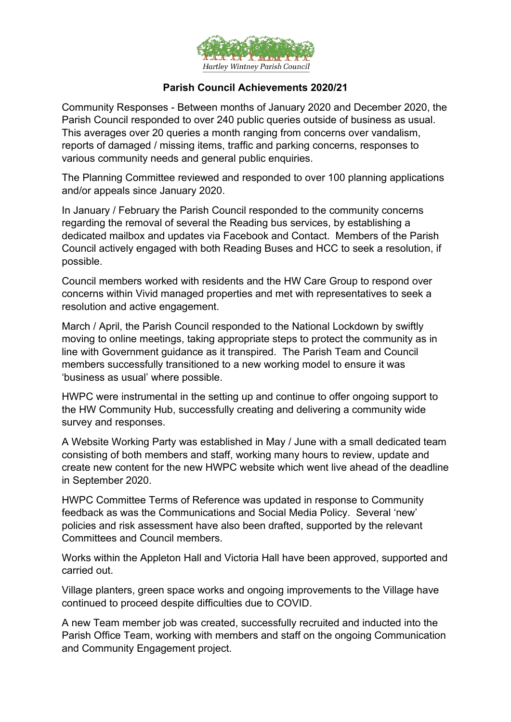

## **Parish Council Achievements 2020/21**

Community Responses - Between months of January 2020 and December 2020, the Parish Council responded to over 240 public queries outside of business as usual. This averages over 20 queries a month ranging from concerns over vandalism, reports of damaged / missing items, traffic and parking concerns, responses to various community needs and general public enquiries.

The Planning Committee reviewed and responded to over 100 planning applications and/or appeals since January 2020.

In January / February the Parish Council responded to the community concerns regarding the removal of several the Reading bus services, by establishing a dedicated mailbox and updates via Facebook and Contact. Members of the Parish Council actively engaged with both Reading Buses and HCC to seek a resolution, if possible.

Council members worked with residents and the HW Care Group to respond over concerns within Vivid managed properties and met with representatives to seek a resolution and active engagement.

March / April, the Parish Council responded to the National Lockdown by swiftly moving to online meetings, taking appropriate steps to protect the community as in line with Government guidance as it transpired. The Parish Team and Council members successfully transitioned to a new working model to ensure it was 'business as usual' where possible.

HWPC were instrumental in the setting up and continue to offer ongoing support to the HW Community Hub, successfully creating and delivering a community wide survey and responses.

A Website Working Party was established in May / June with a small dedicated team consisting of both members and staff, working many hours to review, update and create new content for the new HWPC website which went live ahead of the deadline in September 2020.

HWPC Committee Terms of Reference was updated in response to Community feedback as was the Communications and Social Media Policy. Several 'new' policies and risk assessment have also been drafted, supported by the relevant Committees and Council members.

Works within the Appleton Hall and Victoria Hall have been approved, supported and carried out.

Village planters, green space works and ongoing improvements to the Village have continued to proceed despite difficulties due to COVID.

A new Team member job was created, successfully recruited and inducted into the Parish Office Team, working with members and staff on the ongoing Communication and Community Engagement project.